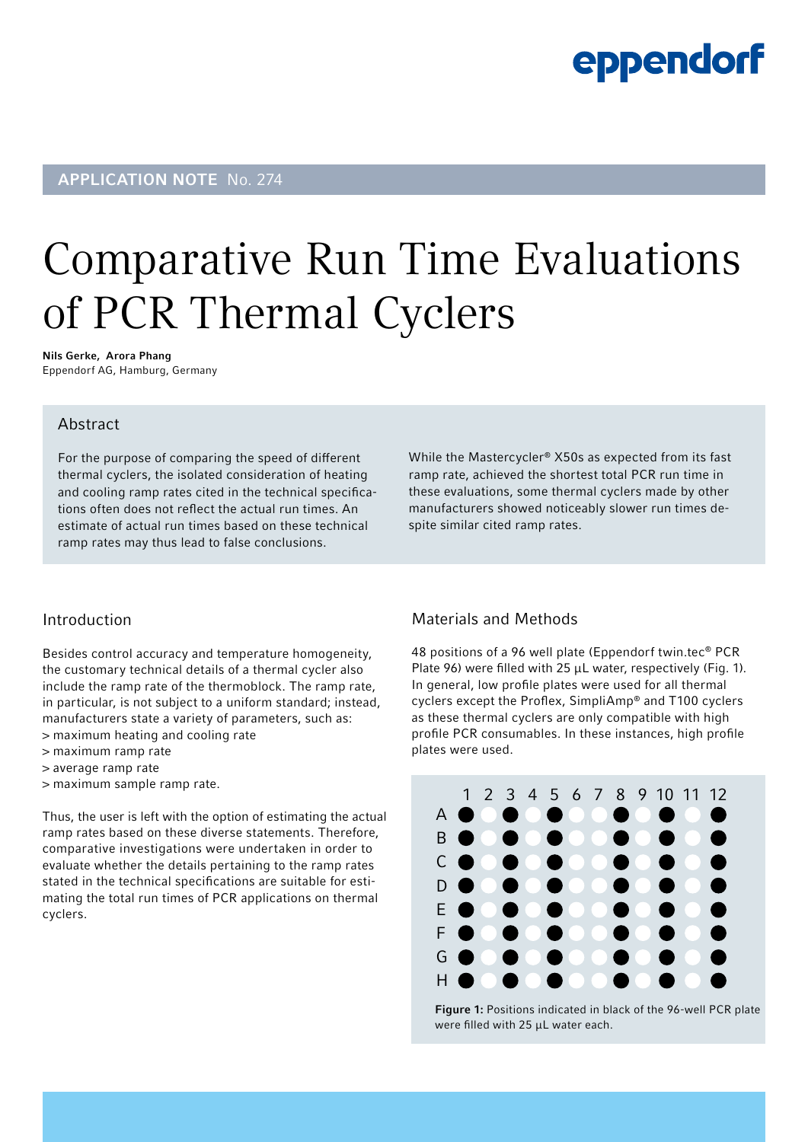### eppendorf

### APPLICATION NOTE No. 274

# Comparative Run Time Evaluations of PCR Thermal Cyclers

Nils Gerke, Arora Phang Eppendorf AG, Hamburg, Germany

### Abstract

For the purpose of comparing the speed of different thermal cyclers, the isolated consideration of heating and cooling ramp rates cited in the technical specifications often does not reflect the actual run times. An estimate of actual run times based on these technical ramp rates may thus lead to false conclusions.

While the Mastercycler® X50s as expected from its fast ramp rate, achieved the shortest total PCR run time in these evaluations, some thermal cyclers made by other manufacturers showed noticeably slower run times despite similar cited ramp rates.

#### Introduction

Besides control accuracy and temperature homogeneity, the customary technical details of a thermal cycler also include the ramp rate of the thermoblock. The ramp rate, in particular, is not subject to a uniform standard; instead, manufacturers state a variety of parameters, such as: > maximum heating and cooling rate

- > maximum ramp rate
- > average ramp rate
- > maximum sample ramp rate.

Thus, the user is left with the option of estimating the actual ramp rates based on these diverse statements. Therefore, comparative investigations were undertaken in order to evaluate whether the details pertaining to the ramp rates stated in the technical specifications are suitable for estimating the total run times of PCR applications on thermal cyclers.

### Materials and Methods

48 positions of a 96 well plate (Eppendorf twin.tec® PCR Plate 96) were filled with 25  $\mu$ L water, respectively (Fig. 1). In general, low profile plates were used for all thermal cyclers except the Proflex, SimpliAmp® and T100 cyclers as these thermal cyclers are only compatible with high profile PCR consumables. In these instances, high profile plates were used.



Figure 1: Positions indicated in black of the 96-well PCR plate were filled with 25 μL water each.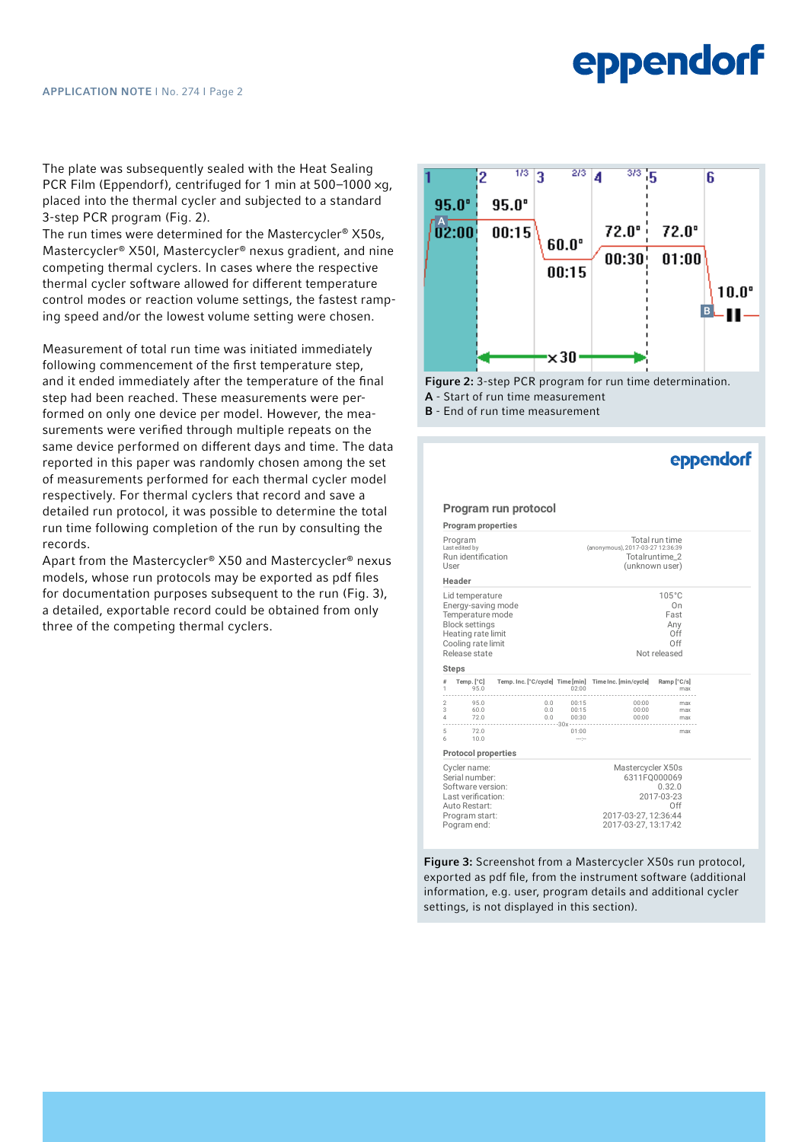## **eppendorf**

The plate was subsequently sealed with the Heat Sealing PCR Film (Eppendorf), centrifuged for 1 min at 500–1000 ×g, placed into the thermal cycler and subjected to a standard 3-step PCR program (Fig. 2).

The run times were determined for the Mastercycler® X50s, Mastercycler® X50l, Mastercycler® nexus gradient, and nine competing thermal cyclers. In cases where the respective thermal cycler software allowed for different temperature control modes or reaction volume settings, the fastest ramping speed and/or the lowest volume setting were chosen.

Measurement of total run time was initiated immediately following commencement of the first temperature step. and it ended immediately after the temperature of the final step had been reached. These measurements were performed on only one device per model. However, the measurements were verified through multiple repeats on the same device performed on different days and time. The data reported in this paper was randomly chosen among the set of measurements performed for each thermal cycler model respectively. For thermal cyclers that record and save a detailed run protocol, it was possible to determine the total run time following completion of the run by consulting the records.

Apart from the Mastercycler® X50 and Mastercycler® nexus models, whose run protocols may be exported as pdf files for documentation purposes subsequent to the run (Fig. 3), a detailed, exportable record could be obtained from only three of the competing thermal cyclers.



Figure 2: 3-step PCR program for run time determination. A - Start of run time measurement

B - End of run time measurement

|                                                                                                                                                 |                            |                                                                                        |                                                                                                                  |                                                                               | eppendorf         |
|-------------------------------------------------------------------------------------------------------------------------------------------------|----------------------------|----------------------------------------------------------------------------------------|------------------------------------------------------------------------------------------------------------------|-------------------------------------------------------------------------------|-------------------|
|                                                                                                                                                 |                            | Program run protocol                                                                   |                                                                                                                  |                                                                               |                   |
|                                                                                                                                                 | <b>Program properties</b>  |                                                                                        |                                                                                                                  |                                                                               |                   |
| Program<br>Last edited by<br>Run identification<br>User                                                                                         |                            | Total run time<br>(anonymous), 2017-03-27 12:36:39<br>Totalruntime 2<br>(unknown user) |                                                                                                                  |                                                                               |                   |
|                                                                                                                                                 | Header                     |                                                                                        |                                                                                                                  |                                                                               |                   |
| Lid temperature<br>Energy-saving mode<br>Temperature mode<br><b>Block settings</b><br>Heating rate limit<br>Cooling rate limit<br>Release state |                            | $105^{\circ}$ C<br>On<br>Fast<br>Anv<br>Off<br>Off<br>Not released                     |                                                                                                                  |                                                                               |                   |
| #<br>1                                                                                                                                          | <b>Steps</b><br>95.0       |                                                                                        | 02:00                                                                                                            | Temp. [°C] Temp. Inc. [°C/cycle] Time [min] Time Inc. [min/cycle] Ramp [°C/s] | max               |
| $\mathbf{3}$                                                                                                                                    | 2 95.0<br>60.0<br>4 72.0   | 0.0                                                                                    | 0.0 00:15<br>00:15<br>$0.0\qquad 00:30$                                                                          | 00:00<br>00:00                                                                | max<br>max<br>max |
| 5<br>6                                                                                                                                          | .<br>72.0<br>10.0          | 30x                                                                                    | 01:00<br>mage.                                                                                                   |                                                                               | max               |
|                                                                                                                                                 | <b>Protocol properties</b> |                                                                                        |                                                                                                                  |                                                                               |                   |
| Cycler name:<br>Serial number:<br>Software version:<br>Last verification:<br>Auto Restart:<br>Program start:<br>Pogram end:                     |                            |                                                                                        | Mastercycler X50s<br>6311F0000069<br>0.32.0<br>2017-03-23<br>Off<br>2017-03-27, 12:36:44<br>2017-03-27, 13:17:42 |                                                                               |                   |

master X<sub>1</sub> User: (unknown user). The *section* is settings, is not displayed in this section). information, e.g. user, program details and additional cycler Figure 3: Screenshot from a Mastercycler X50s run protocol, exported as pdf file, from the instrument software (additional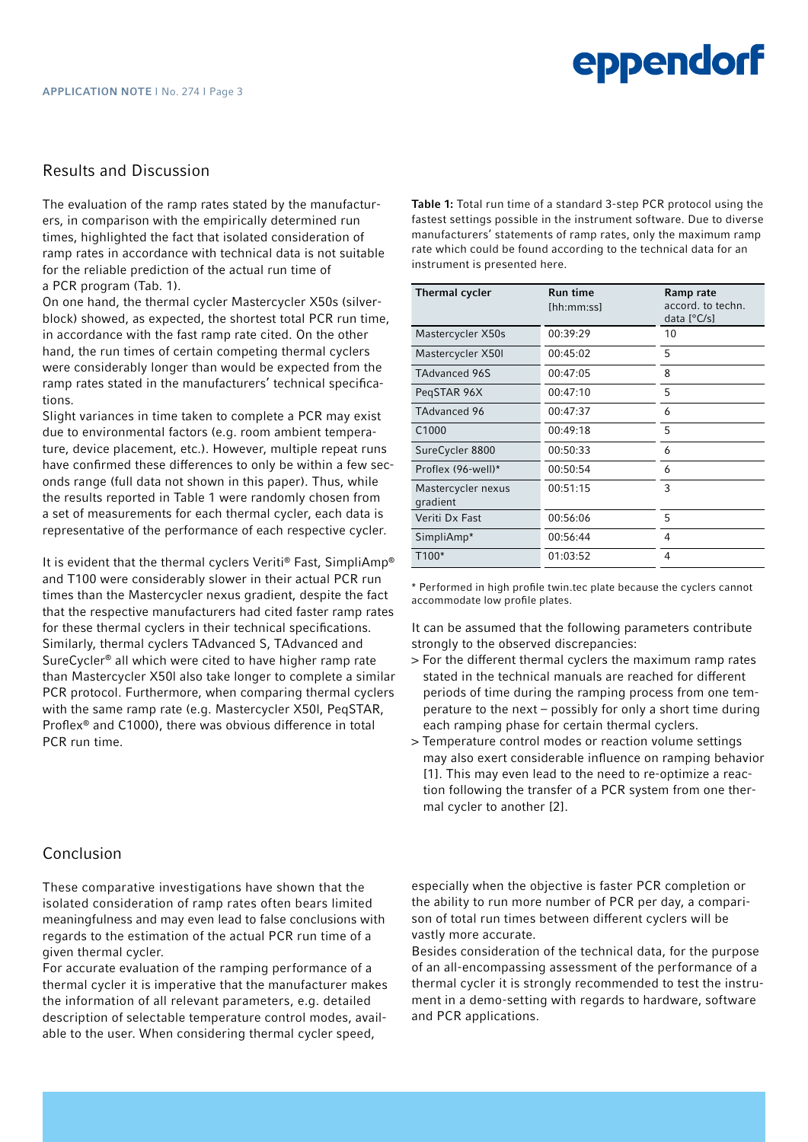### Results and Discussion

The evaluation of the ramp rates stated by the manufacturers, in comparison with the empirically determined run times, highlighted the fact that isolated consideration of ramp rates in accordance with technical data is not suitable for the reliable prediction of the actual run time of a PCR program (Tab. 1).

On one hand, the thermal cycler Mastercycler X50s (silverblock) showed, as expected, the shortest total PCR run time, in accordance with the fast ramp rate cited. On the other hand, the run times of certain competing thermal cyclers were considerably longer than would be expected from the ramp rates stated in the manufacturers' technical specifications.

Slight variances in time taken to complete a PCR may exist due to environmental factors (e.g. room ambient temperature, device placement, etc.). However, multiple repeat runs have confirmed these differences to only be within a few seconds range (full data not shown in this paper). Thus, while the results reported in Table 1 were randomly chosen from a set of measurements for each thermal cycler, each data is representative of the performance of each respective cycler.

It is evident that the thermal cyclers Veriti® Fast, SimpliAmp® and T100 were considerably slower in their actual PCR run times than the Mastercycler nexus gradient, despite the fact that the respective manufacturers had cited faster ramp rates for these thermal cyclers in their technical specifications. Similarly, thermal cyclers TAdvanced S, TAdvanced and SureCycler® all which were cited to have higher ramp rate than Mastercycler X50l also take longer to complete a similar PCR protocol. Furthermore, when comparing thermal cyclers with the same ramp rate (e.g. Mastercycler X50l, PeqSTAR, Proflex® and C1000), there was obvious difference in total PCR run time.

### Conclusion

These comparative investigations have shown that the isolated consideration of ramp rates often bears limited meaningfulness and may even lead to false conclusions with regards to the estimation of the actual PCR run time of a given thermal cycler.

For accurate evaluation of the ramping performance of a thermal cycler it is imperative that the manufacturer makes the information of all relevant parameters, e.g. detailed description of selectable temperature control modes, available to the user. When considering thermal cycler speed,

Table 1: Total run time of a standard 3-step PCR protocol using the fastest settings possible in the instrument software. Due to diverse manufacturers' statements of ramp rates, only the maximum ramp rate which could be found according to the technical data for an instrument is presented here.

| <b>Thermal cycler</b>          | <b>Run time</b><br>[hh:mm:ss] | Ramp rate<br>accord, to techn.<br>data $[°C/s]$ |
|--------------------------------|-------------------------------|-------------------------------------------------|
| Mastercycler X50s              | 00:39:29                      | 10                                              |
| Mastercycler X501              | 00:45:02                      | 5                                               |
| <b>TAdvanced 96S</b>           | 00:47:05                      | 8                                               |
| PegSTAR 96X                    | 00:47:10                      | 5                                               |
| TAdvanced 96                   | 00:47:37                      | 6                                               |
| C1000                          | 00:49:18                      | 5                                               |
| SureCycler 8800                | 00:50:33                      | 6                                               |
| Proflex (96-well)*             | 00:50:54                      | 6                                               |
| Mastercycler nexus<br>gradient | 00:51:15                      | 3                                               |
| Veriti Dx Fast                 | 00:56:06                      | 5                                               |
| SimpliAmp*                     | 00:56:44                      | 4                                               |
| T100*                          | 01:03:52                      | 4                                               |

\* Performed in high profile twin.tec plate because the cyclers cannot accommodate low profile plates.

It can be assumed that the following parameters contribute strongly to the observed discrepancies:

- > For the different thermal cyclers the maximum ramp rates stated in the technical manuals are reached for different periods of time during the ramping process from one temperature to the next – possibly for only a short time during each ramping phase for certain thermal cyclers.
- > Temperature control modes or reaction volume settings may also exert considerable influence on ramping behavior [1]. This may even lead to the need to re-optimize a reaction following the transfer of a PCR system from one thermal cycler to another [2].

especially when the objective is faster PCR completion or the ability to run more number of PCR per day, a comparison of total run times between different cyclers will be vastly more accurate.

Besides consideration of the technical data, for the purpose of an all-encompassing assessment of the performance of a thermal cycler it is strongly recommended to test the instrument in a demo-setting with regards to hardware, software and PCR applications.